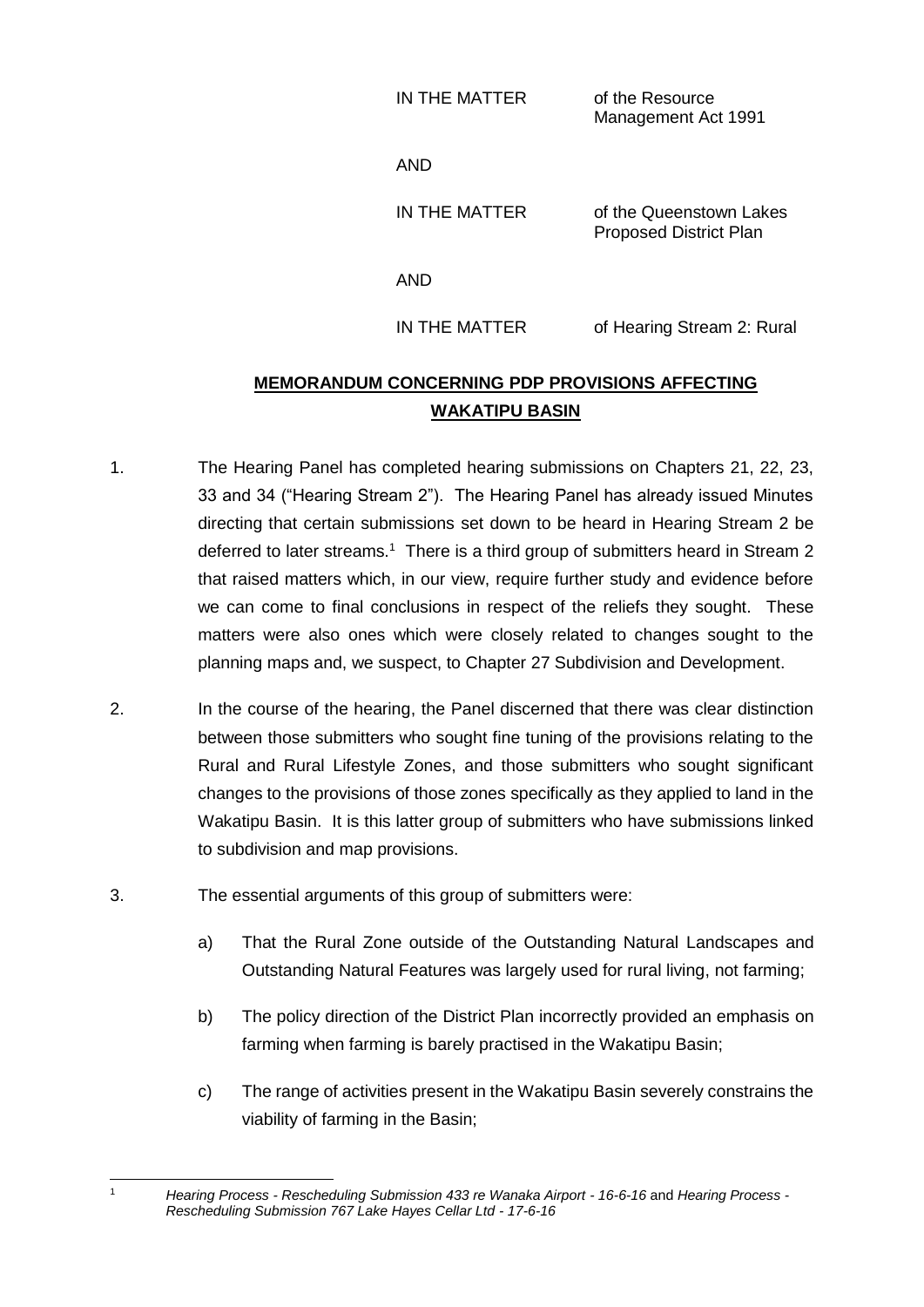IN THE MATTER of the Resource Management Act 1991

AND

IN THE MATTER of the Queenstown Lakes Proposed District Plan

AND

IN THE MATTER of Hearing Stream 2: Rural

## **MEMORANDUM CONCERNING PDP PROVISIONS AFFECTING WAKATIPU BASIN**

- 1. The Hearing Panel has completed hearing submissions on Chapters 21, 22, 23, 33 and 34 ("Hearing Stream 2"). The Hearing Panel has already issued Minutes directing that certain submissions set down to be heard in Hearing Stream 2 be deferred to later streams.<sup>1</sup> There is a third group of submitters heard in Stream 2 that raised matters which, in our view, require further study and evidence before we can come to final conclusions in respect of the reliefs they sought. These matters were also ones which were closely related to changes sought to the planning maps and, we suspect, to Chapter 27 Subdivision and Development.
- 2. In the course of the hearing, the Panel discerned that there was clear distinction between those submitters who sought fine tuning of the provisions relating to the Rural and Rural Lifestyle Zones, and those submitters who sought significant changes to the provisions of those zones specifically as they applied to land in the Wakatipu Basin. It is this latter group of submitters who have submissions linked to subdivision and map provisions.
- 3. The essential arguments of this group of submitters were:

- a) That the Rural Zone outside of the Outstanding Natural Landscapes and Outstanding Natural Features was largely used for rural living, not farming;
- b) The policy direction of the District Plan incorrectly provided an emphasis on farming when farming is barely practised in the Wakatipu Basin;
- c) The range of activities present in the Wakatipu Basin severely constrains the viability of farming in the Basin;

<sup>1</sup> *Hearing Process - Rescheduling Submission 433 re Wanaka Airport - 16-6-16* and *Hearing Process - Rescheduling Submission 767 Lake Hayes Cellar Ltd - 17-6-16*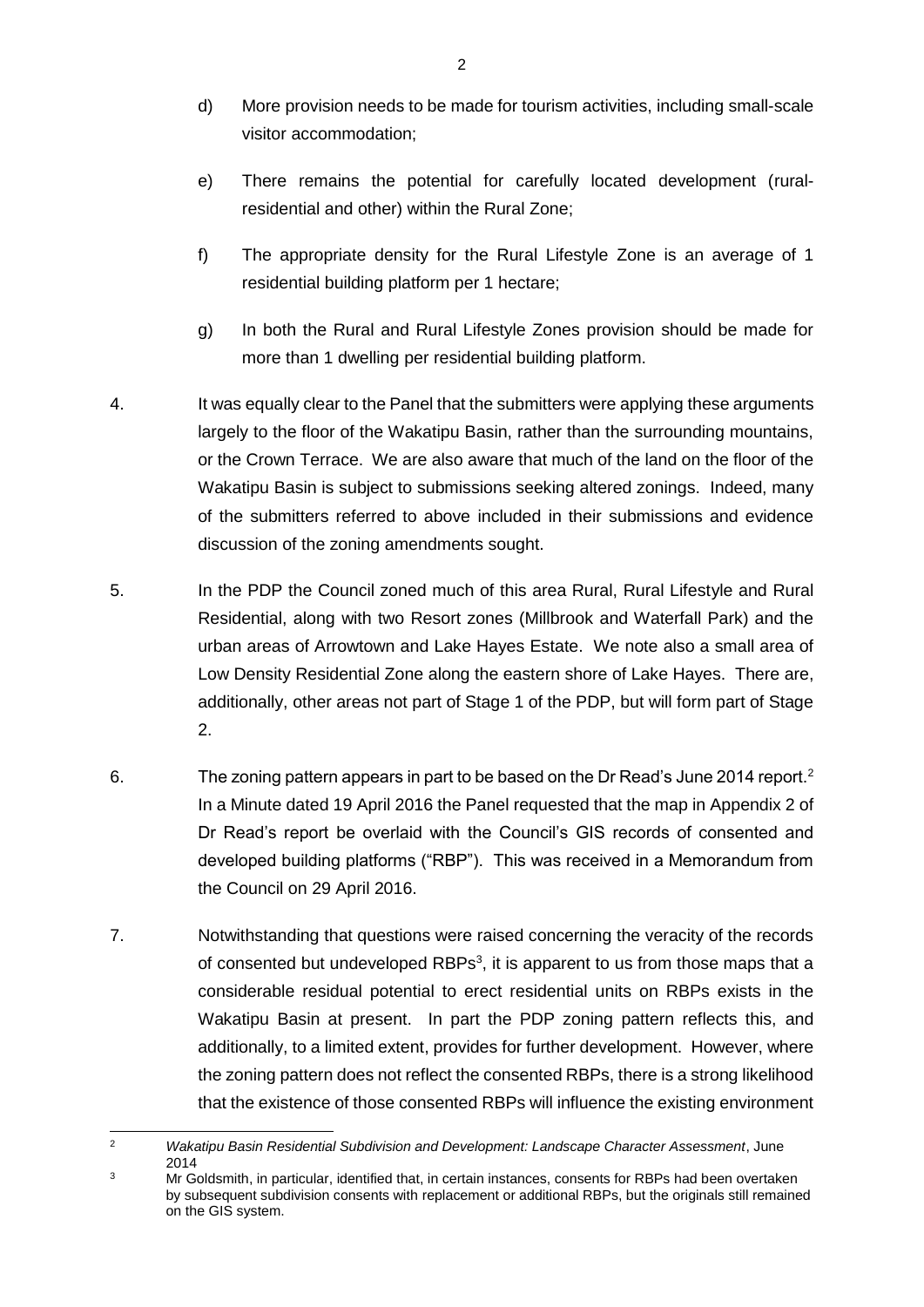- d) More provision needs to be made for tourism activities, including small-scale visitor accommodation;
- e) There remains the potential for carefully located development (ruralresidential and other) within the Rural Zone;
- f) The appropriate density for the Rural Lifestyle Zone is an average of 1 residential building platform per 1 hectare;
- g) In both the Rural and Rural Lifestyle Zones provision should be made for more than 1 dwelling per residential building platform.
- 4. It was equally clear to the Panel that the submitters were applying these arguments largely to the floor of the Wakatipu Basin, rather than the surrounding mountains, or the Crown Terrace. We are also aware that much of the land on the floor of the Wakatipu Basin is subject to submissions seeking altered zonings. Indeed, many of the submitters referred to above included in their submissions and evidence discussion of the zoning amendments sought.
- 5. In the PDP the Council zoned much of this area Rural, Rural Lifestyle and Rural Residential, along with two Resort zones (Millbrook and Waterfall Park) and the urban areas of Arrowtown and Lake Hayes Estate. We note also a small area of Low Density Residential Zone along the eastern shore of Lake Hayes. There are, additionally, other areas not part of Stage 1 of the PDP, but will form part of Stage 2.
- 6. The zoning pattern appears in part to be based on the Dr Read's June 2014 report.<sup>2</sup> In a Minute dated 19 April 2016 the Panel requested that the map in Appendix 2 of Dr Read's report be overlaid with the Council's GIS records of consented and developed building platforms ("RBP"). This was received in a Memorandum from the Council on 29 April 2016.
- 7. Notwithstanding that questions were raised concerning the veracity of the records of consented but undeveloped RBPs<sup>3</sup>, it is apparent to us from those maps that a considerable residual potential to erect residential units on RBPs exists in the Wakatipu Basin at present. In part the PDP zoning pattern reflects this, and additionally, to a limited extent, provides for further development. However, where the zoning pattern does not reflect the consented RBPs, there is a strong likelihood that the existence of those consented RBPs will influence the existing environment

 $\overline{2}$ <sup>2</sup> *Wakatipu Basin Residential Subdivision and Development: Landscape Character Assessment*, June 2014

<sup>&</sup>lt;sup>3</sup> Mr Goldsmith, in particular, identified that, in certain instances, consents for RBPs had been overtaken by subsequent subdivision consents with replacement or additional RBPs, but the originals still remained on the GIS system.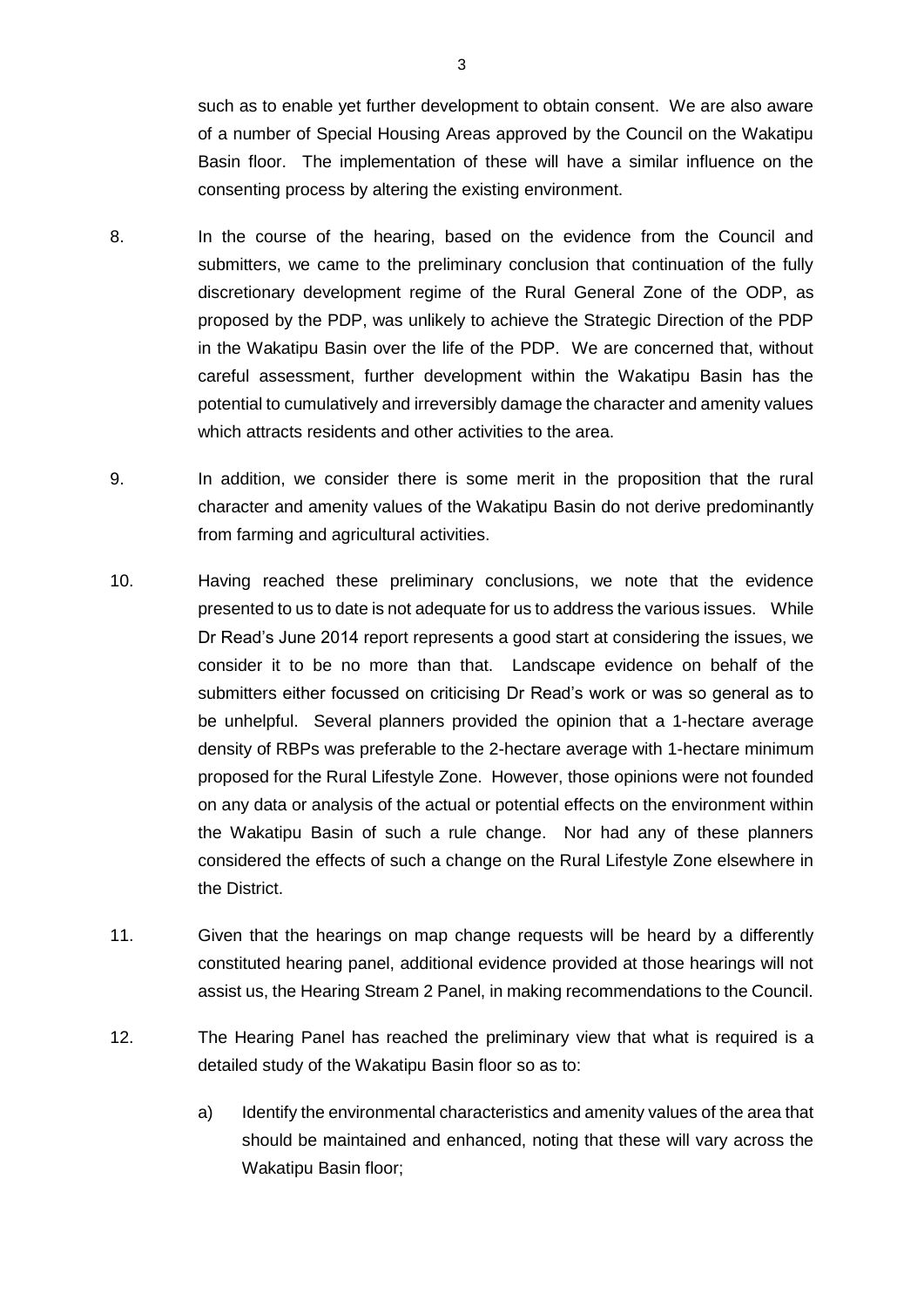such as to enable yet further development to obtain consent. We are also aware of a number of Special Housing Areas approved by the Council on the Wakatipu Basin floor. The implementation of these will have a similar influence on the consenting process by altering the existing environment.

- 8. In the course of the hearing, based on the evidence from the Council and submitters, we came to the preliminary conclusion that continuation of the fully discretionary development regime of the Rural General Zone of the ODP, as proposed by the PDP, was unlikely to achieve the Strategic Direction of the PDP in the Wakatipu Basin over the life of the PDP. We are concerned that, without careful assessment, further development within the Wakatipu Basin has the potential to cumulatively and irreversibly damage the character and amenity values which attracts residents and other activities to the area.
- 9. In addition, we consider there is some merit in the proposition that the rural character and amenity values of the Wakatipu Basin do not derive predominantly from farming and agricultural activities.
- 10. Having reached these preliminary conclusions, we note that the evidence presented to us to date is not adequate for us to address the various issues. While Dr Read's June 2014 report represents a good start at considering the issues, we consider it to be no more than that. Landscape evidence on behalf of the submitters either focussed on criticising Dr Read's work or was so general as to be unhelpful. Several planners provided the opinion that a 1-hectare average density of RBPs was preferable to the 2-hectare average with 1-hectare minimum proposed for the Rural Lifestyle Zone. However, those opinions were not founded on any data or analysis of the actual or potential effects on the environment within the Wakatipu Basin of such a rule change. Nor had any of these planners considered the effects of such a change on the Rural Lifestyle Zone elsewhere in the District.
- 11. Given that the hearings on map change requests will be heard by a differently constituted hearing panel, additional evidence provided at those hearings will not assist us, the Hearing Stream 2 Panel, in making recommendations to the Council.
- 12. The Hearing Panel has reached the preliminary view that what is required is a detailed study of the Wakatipu Basin floor so as to:
	- a) Identify the environmental characteristics and amenity values of the area that should be maintained and enhanced, noting that these will vary across the Wakatipu Basin floor;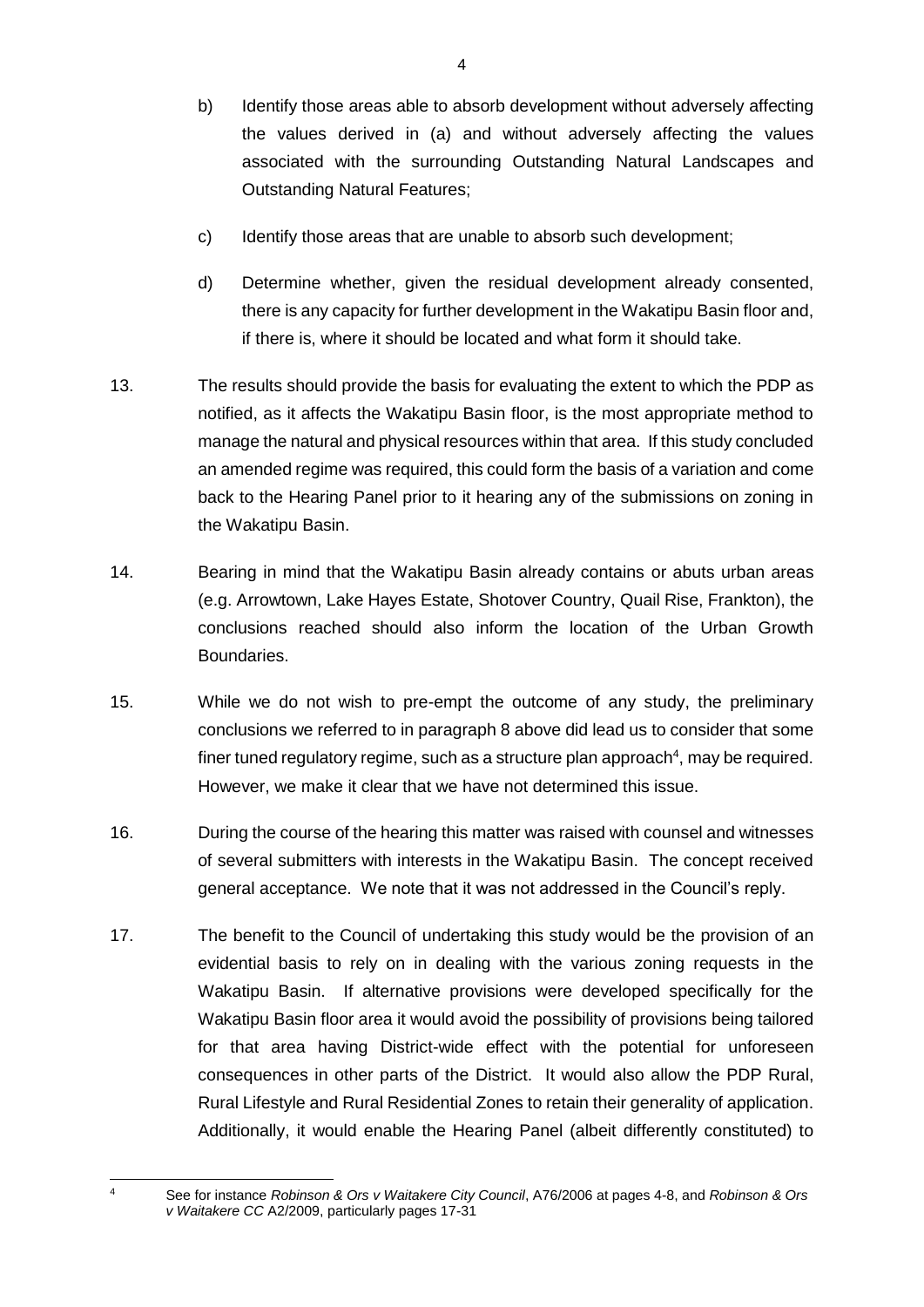- b) Identify those areas able to absorb development without adversely affecting the values derived in (a) and without adversely affecting the values associated with the surrounding Outstanding Natural Landscapes and Outstanding Natural Features;
- c) Identify those areas that are unable to absorb such development;
- d) Determine whether, given the residual development already consented, there is any capacity for further development in the Wakatipu Basin floor and, if there is, where it should be located and what form it should take.
- 13. The results should provide the basis for evaluating the extent to which the PDP as notified, as it affects the Wakatipu Basin floor, is the most appropriate method to manage the natural and physical resources within that area. If this study concluded an amended regime was required, this could form the basis of a variation and come back to the Hearing Panel prior to it hearing any of the submissions on zoning in the Wakatipu Basin.
- 14. Bearing in mind that the Wakatipu Basin already contains or abuts urban areas (e.g. Arrowtown, Lake Hayes Estate, Shotover Country, Quail Rise, Frankton), the conclusions reached should also inform the location of the Urban Growth Boundaries.
- 15. While we do not wish to pre-empt the outcome of any study, the preliminary conclusions we referred to in paragraph 8 above did lead us to consider that some finer tuned regulatory regime, such as a structure plan approach $4$ , may be required. However, we make it clear that we have not determined this issue.
- 16. During the course of the hearing this matter was raised with counsel and witnesses of several submitters with interests in the Wakatipu Basin. The concept received general acceptance. We note that it was not addressed in the Council's reply.
- 17. The benefit to the Council of undertaking this study would be the provision of an evidential basis to rely on in dealing with the various zoning requests in the Wakatipu Basin. If alternative provisions were developed specifically for the Wakatipu Basin floor area it would avoid the possibility of provisions being tailored for that area having District-wide effect with the potential for unforeseen consequences in other parts of the District. It would also allow the PDP Rural, Rural Lifestyle and Rural Residential Zones to retain their generality of application. Additionally, it would enable the Hearing Panel (albeit differently constituted) to

 $\overline{4}$ 

<sup>4</sup> See for instance *Robinson & Ors v Waitakere City Council*, A76/2006 at pages 4-8, and *Robinson & Ors v Waitakere CC* A2/2009, particularly pages 17-31